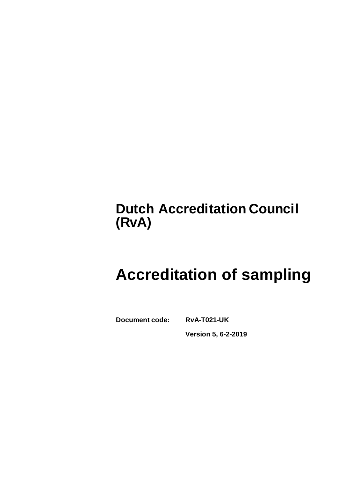# **Dutch Accreditation Council (RvA)**

# **Accreditation of sampling**

**Document code: RvA-T021-UK**

**Version 5, 6-2-2019**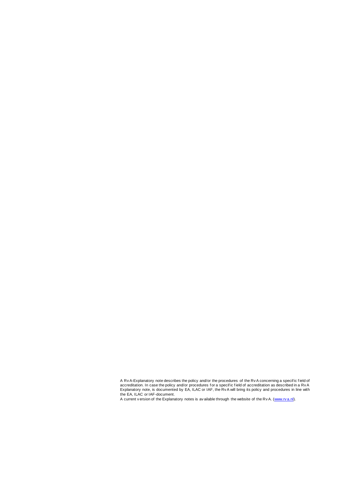A current v ersion of the Explanatory notes is av ailable through the website of the Rv A. [\(www.rv a.nl\)](http://www.rva.nl/).

A RvA-Explanatory note describes the policy and/or the procedures of the RvA concerning a specific field of<br>accreditation. In case the policy and/or procedures for a specific field of accreditation as described in a RvA Explanatory note, is documented by EA, ILAC or IAF, the Rv A will bring its policy and procedures in line with the EA, ILAC or IAF-document.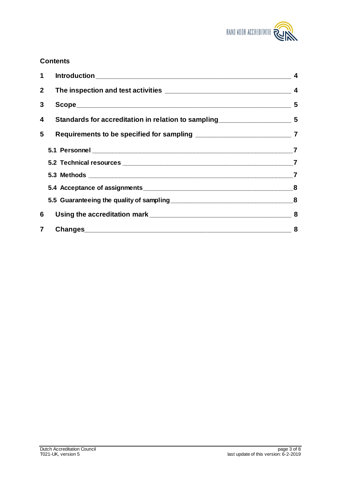

# **Contents**

| 1              |                                                                                     |                |
|----------------|-------------------------------------------------------------------------------------|----------------|
| 2 <sup>1</sup> |                                                                                     |                |
| 3              | Scope 5                                                                             |                |
| 4              | Standards for accreditation in relation to sampling______________________________ 5 |                |
| 5              |                                                                                     |                |
|                |                                                                                     | $\overline{7}$ |
|                |                                                                                     |                |
|                |                                                                                     |                |
|                |                                                                                     |                |
|                |                                                                                     |                |
| 6              |                                                                                     |                |
| $\overline{7}$ |                                                                                     | 8              |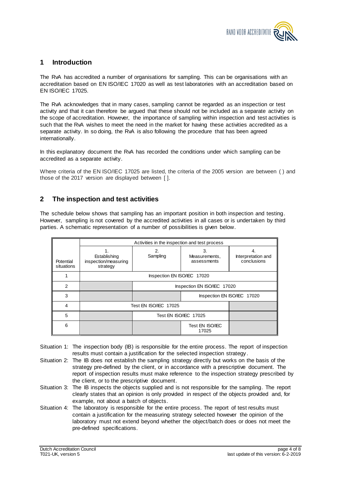

# <span id="page-3-0"></span>**1 Introduction**

The RvA has accredited a number of organisations for sampling. This can be organisations with an accreditation based on EN ISO/IEC 17020 as well as test laboratories with an accreditation based on EN ISO/IEC 17025.

The RvA acknowledges that in many cases, sampling cannot be regarded as an inspection or test activity and that it can therefore be argued that these should not be included as a separate activity on the scope of accreditation. However, the importance of sampling within inspection and test activities is such that the RvA wishes to meet the need in the market for having these activities accredited as a separate activity. In so doing, the RvA is also following the procedure that has been agreed internationally.

In this explanatory document the RvA has recorded the conditions under which sampling can be accredited as a separate activity.

Where criteria of the EN ISO/IEC 17025 are listed, the criteria of the 2005 version are between ( ) and those of the 2017 version are displayed between [ ].

# <span id="page-3-1"></span>**2 The inspection and test activities**

The schedule below shows that sampling has an important position in both inspection and testing. However, sampling is not covered by the accredited activities in all cases or is undertaken by third parties. A schematic representation of a number of possibilities is given below.

|                         | Activities in the inspection and test process    |                             |                                    |                                   |
|-------------------------|--------------------------------------------------|-----------------------------|------------------------------------|-----------------------------------|
| Potential<br>situations | Establishing<br>inspection/measuring<br>strategy | 2.<br>Sampling              | 3.<br>Measurements,<br>assessments | Interpretation and<br>conclusions |
|                         |                                                  | Inspection EN ISO/IEC 17020 |                                    |                                   |
| 2                       |                                                  | Inspection EN ISO/IEC 17020 |                                    |                                   |
| 3                       |                                                  | Inspection EN ISO/IEC 17020 |                                    |                                   |
| 4                       |                                                  | Test EN ISO/IEC 17025       |                                    |                                   |
| 5                       |                                                  | Test EN ISO/IEC 17025       |                                    |                                   |
| 6                       |                                                  |                             | Test EN ISO/IEC<br>17025           |                                   |

- Situation 1: The inspection body (IB) is responsible for the entire process. The report of inspection results must contain a justification for the selected inspection strategy .
- Situation 2: The IB does not establish the sampling strategy directly but works on the basis of the strategy pre-defined by the client, or in accordance with a prescriptive document. The report of inspection results must make reference to the inspection strategy prescribed by the client, or to the prescriptive document.
- Situation 3: The IB inspects the objects supplied and is not responsible for the sampling. The report clearly states that an opinion is only provided in respect of the objects provided and, for example, not about a batch of objects.
- Situation 4: The laboratory is responsible for the entire process. The report of test results must contain a justification for the measuring strategy selected however the opinion of the laboratory must not extend beyond whether the object/batch does or does not meet the pre-defined specifications.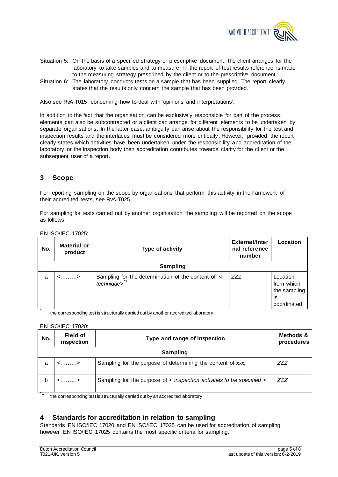

- Situation 5: On the basis of a specified strategy or prescriptive document, the client arranges for the laboratory to take samples and to measure. In the report of test results reference is made to the measuring strategy prescribed by the client or to the prescriptive document.
- Situation 6: The laboratory conducts tests on a sample that has been supplied. The report clearly states that the results only concern the sample that has been provided.

Also see RvA-T015 concerning how to deal with 'opinions and interpretations'.

In addition to the fact that the organisation can be exclusively responsible for part of the process, elements can also be subcontracted or a client can arrange for different elements to be undertaken by separate organisations. In the latter case, ambiguity can arise about the responsibility for the test and inspection results and the interfaces must be considered more critically. However, provided the report clearly states which activities have been undertaken under the responsibility and accreditation of the laboratory or the inspection body then accreditation contributes towards clarity for the client or the subsequent user of a report.

# <span id="page-4-0"></span>**3 Scope**

For reporting sampling on the scope by organisations that perform this activity in the framework of their accredited tests, see RvA-T025.

For sampling for tests carried out by another organisation the sampling will be reported on the scope as follows:

| No.                 | <b>Material or</b><br>product | Type of activity                                                                | External/Inter<br>nal reference<br>number | Location                                                    |  |  |
|---------------------|-------------------------------|---------------------------------------------------------------------------------|-------------------------------------------|-------------------------------------------------------------|--|--|
|                     | <b>Sampling</b>               |                                                                                 |                                           |                                                             |  |  |
| a<br>$\overline{1}$ | $\langle$ >                   | Sampling for the determination of the content of; <<br>$technique$ <sup>7</sup> | <b>ZZZ</b>                                | Location<br>from which<br>the sampling<br>is<br>coordinated |  |  |

EN ISO/IEC 17025:

the corresponding test is structurally carried out by another accredited laboratory.

#### EN ISO/IEC 17020:

| No. | <b>Field of</b><br>inspection | Type and range of inspection                                          | Methods &<br>procedures |  |  |
|-----|-------------------------------|-----------------------------------------------------------------------|-------------------------|--|--|
|     | Sampling                      |                                                                       |                         |  |  |
| a   | $\langle$ >                   | Sampling for the purpose of determining the content of xxx;           | ZZZ                     |  |  |
| b   | $\langle$ >                   | Sampling for the purpose of < inspection activities to be specified > | ZZZ                     |  |  |

the corresponding test is structurally carried out by an accredited laboratory.

# <span id="page-4-1"></span>**4 Standards for accreditation in relation to sampling**

Standards EN ISO/IEC 17020 and EN ISO/IEC 17025 can be used for accreditation of sampling however EN ISO/IEC 17025 contains the most specific criteria for sampling.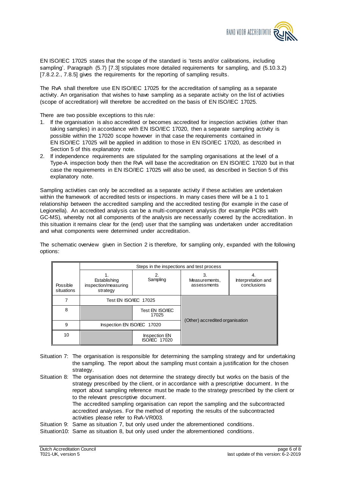

EN ISO/IEC 17025 states that the scope of the standard is 'tests and/or calibrations, including sampling'. Paragraph (5.7) [7.3] stipulates more detailed requirements for sampling, and (5.10.3.2) [7.8.2.2., 7.8.5] gives the requirements for the reporting of sampling results.

The RvA shall therefore use EN ISO/IEC 17025 for the accreditation of sampling as a separate activity. An organisation that wishes to have sampling as a separate activity on the list of activities (scope of accreditation) will therefore be accredited on the basis of EN ISO/IEC 17025.

There are two possible exceptions to this rule:

- 1. If the organisation is also accredited or becomes accredited for inspection activities (other than taking samples) in accordance with EN ISO/IEC 17020, then a separate sampling activity is possible within the 17020 scope however in that case the requirements contained in EN ISO/IEC 17025 will be applied in addition to those in EN ISO/IEC 17020, as described in Section 5 of this explanatory note.
- 2. If independence requirements are stipulated for the sampling organisations at the level of a Type-A inspection body then the RvA will base the accreditation on EN ISO/IEC 17020 but in that case the requirements in EN ISO/IEC 17025 will also be used, as described in Section 5 of this explanatory note.

Sampling activities can only be accredited as a separate activity if these activities are undertaken within the framework of accredited tests or inspections. In many cases there will be a 1 to 1 relationship between the accredited sampling and the accredited testing (for example in the case of Legionella). An accredited analysis can be a multi-component analysis (for example PCBs with GC-MS), whereby not all components of the analysis are necessarily covered by the accreditation. In this situation it remains clear for the (end) user that the sampling was undertaken under accreditation and what components were determined under accreditation.

The schematic overview given in Section 2 is therefore, for sampling only, expanded with the following options:

|                        | Steps in the inspections and test process        |                                              |                                    |                                   |
|------------------------|--------------------------------------------------|----------------------------------------------|------------------------------------|-----------------------------------|
| Possible<br>situations | Establishing<br>inspection/measuring<br>strategy | Sampling                                     | 3.<br>Measurements,<br>assessments | Interpretation and<br>conclusions |
|                        | Test EN ISO/IEC 17025                            |                                              |                                    |                                   |
| 8                      |                                                  | Test EN ISO/IEC<br>17025                     |                                    |                                   |
| 9                      | Inspection EN ISO/IEC 17020                      |                                              | (Other) accredited organisation    |                                   |
| 10                     |                                                  | <b>Inspection EN</b><br><b>ISO/IEC 17020</b> |                                    |                                   |

- Situation 7: The organisation is responsible for determining the sampling strategy and for undertaking the sampling. The report about the sampling must contain a justification for the chosen strategy.
- Situation 8: The organisation does not determine the strategy directly but works on the basis of the strategy prescribed by the client, or in accordance with a prescriptive document. In the report about sampling reference must be made to the strategy prescribed by the client or to the relevant prescriptive document. The accredited sampling organisation can report the sampling and the subcontracted accredited analyses. For the method of reporting the results of the subcontracted

activities please refer to RvA-VR003. Situation 9: Same as situation 7, but only used under the aforementioned conditions.

Situation10: Same as situation 8, but only used under the aforementioned conditions.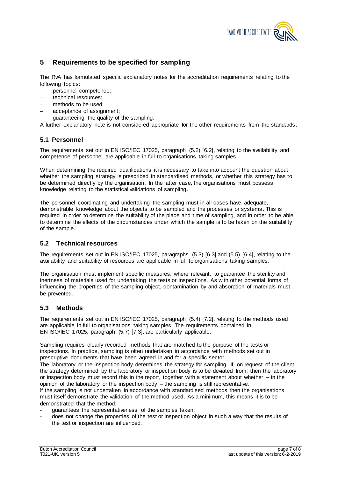

# <span id="page-6-0"></span>**5 Requirements to be specified for sampling**

The RvA has formulated specific explanatory notes for the accreditation requirements relating to the following topics:

- personnel competence;
- technical resources:
- methods to be used;
- acceptance of assignment;
- guaranteeing the quality of the sampling.

A further explanatory note is not considered appropriate for the other requirements from the standards.

### <span id="page-6-1"></span>**5.1 Personnel**

The requirements set out in EN ISO/IEC 17025, paragraph (5.2) [6.2], relating to the availability and competence of personnel are applicable in full to organisations taking samples.

When determining the required qualifications it is necessary to take into account the question about whether the sampling strategy is prescribed in standardised methods, or whether this strategy has to be determined directly by the organisation. In the latter case, the organisations must possess knowledge relating to the statistical validations of sampling.

The personnel coordinating and undertaking the sampling must in all cases have adequate, demonstrable knowledge about the objects to be sampled and the processes or systems . This is required in order to determine the suitability of the place and time of sampling, and in order to be able to determine the effects of the circumstances under which the sample is to be taken on the suitability of the sample.

#### <span id="page-6-2"></span>**5.2 Technical resources**

The requirements set out in EN ISO/IEC 17025, paragraphs (5.3) [6.3] and (5.5) [6.4], relating to the availability and suitability of resources are applicable in full to organisations taking samples.

The organisation must implement specific measures, where relevant, to guarantee the sterility and inertness of materials used for undertaking the tests or inspections. As with other potential forms of influencing the properties of the sampling object, contamination by and absorption of materials must be prevented.

#### <span id="page-6-3"></span>**5.3 Methods**

The requirements set out in EN ISO/IEC 17025, paragraph (5.4) [7.2], relating to the methods used are applicable in full to organisations taking samples. The requirements contained in EN ISO/IEC 17025, paragraph (5.7) [7.3], are particularly applicable.

Sampling requires clearly recorded methods that are matched to the purpose of the tests or inspections. In practice, sampling is often undertaken in accordance with methods set out in prescriptive documents that have been agreed in and for a specific sector.

The laboratory or the inspection body determines the strategy for sampling. If, on request of the client, the strategy determined by the laboratory or inspection body is to be deviated from, then the laboratory or inspection body must record this in the report, together with a statement about whether – in the opinion of the laboratory or the inspection body – the sampling is still representative. If the sampling is not undertaken in accordance with standardised methods then the organisations must itself demonstrate the validation of the method used. As a minimum, this means it is to be

demonstrated that the method:

- guarantees the representativeness of the samples taken;
- does not change the properties of the test or inspection object in such a way that the results of the test or inspection are influenced.